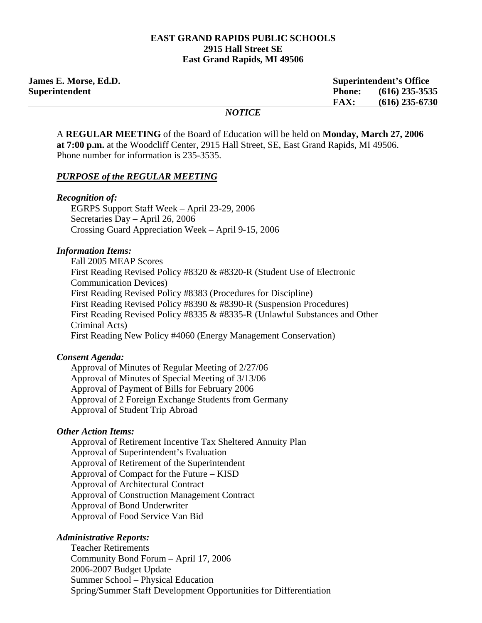#### **EAST GRAND RAPIDS PUBLIC SCHOOLS 2915 Hall Street SE East Grand Rapids, MI 49506**

| <b>James E. Morse, Ed.D.</b> | <b>Superintendent's Office</b>    |
|------------------------------|-----------------------------------|
| Superintendent               | $(616)$ 235-3535<br><b>Phone:</b> |
|                              | $(616)$ 235-6730<br><b>FAX:</b>   |
|                              | <b>NOTICE</b>                     |

A **REGULAR MEETING** of the Board of Education will be held on **Monday, March 27, 2006 at 7:00 p.m.** at the Woodcliff Center, 2915 Hall Street, SE, East Grand Rapids, MI 49506. Phone number for information is 235-3535.

#### *PURPOSE of the REGULAR MEETING*

#### *Recognition of:*

 EGRPS Support Staff Week – April 23-29, 2006 Secretaries Day – April 26, 2006 Crossing Guard Appreciation Week – April 9-15, 2006

#### *Information Items:*

 Fall 2005 MEAP Scores First Reading Revised Policy #8320 & #8320-R (Student Use of Electronic Communication Devices) First Reading Revised Policy #8383 (Procedures for Discipline) First Reading Revised Policy #8390 & #8390-R (Suspension Procedures) First Reading Revised Policy #8335 & #8335-R (Unlawful Substances and Other Criminal Acts) First Reading New Policy #4060 (Energy Management Conservation)

#### *Consent Agenda:*

 Approval of Minutes of Regular Meeting of 2/27/06 Approval of Minutes of Special Meeting of 3/13/06 Approval of Payment of Bills for February 2006 Approval of 2 Foreign Exchange Students from Germany Approval of Student Trip Abroad

#### *Other Action Items:*

Approval of Retirement Incentive Tax Sheltered Annuity Plan Approval of Superintendent's Evaluation Approval of Retirement of the Superintendent Approval of Compact for the Future – KISD Approval of Architectural Contract Approval of Construction Management Contract Approval of Bond Underwriter Approval of Food Service Van Bid

#### *Administrative Reports:*

Teacher Retirements Community Bond Forum – April 17, 2006 2006-2007 Budget Update Summer School – Physical Education Spring/Summer Staff Development Opportunities for Differentiation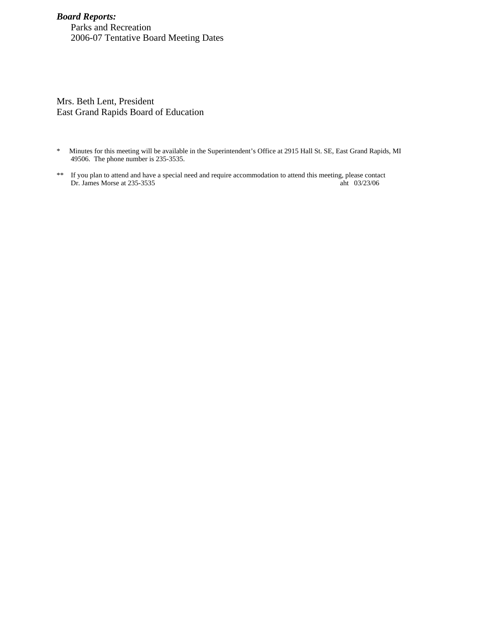# *Board Reports:*

Parks and Recreation 2006-07 Tentative Board Meeting Dates

Mrs. Beth Lent, President East Grand Rapids Board of Education

- \* Minutes for this meeting will be available in the Superintendent's Office at 2915 Hall St. SE, East Grand Rapids, MI 49506. The phone number is 235-3535.
- \*\* If you plan to attend and have a special need and require accommodation to attend this meeting, please contact Dr. James Morse at 235-3535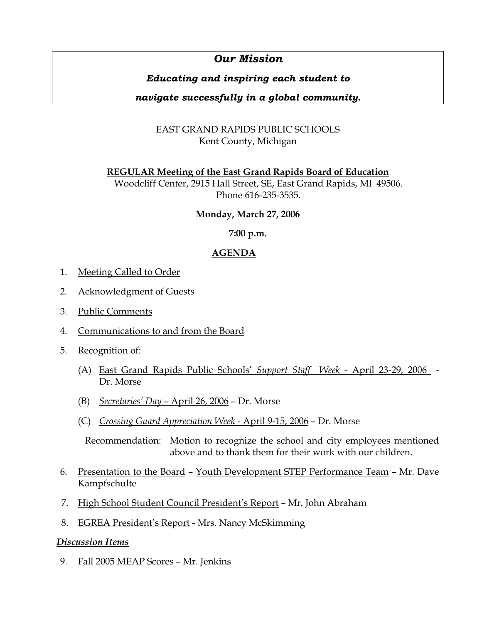# *Our Mission*

# *Educating and inspiring each student to*

# *navigate successfully in a global community.*

# EAST GRAND RAPIDS PUBLIC SCHOOLS Kent County, Michigan

# **REGULAR Meeting of the East Grand Rapids Board of Education**

Woodcliff Center, 2915 Hall Street, SE, East Grand Rapids, MI 49506. Phone 616-235-3535.

# **Monday, March 27, 2006**

# **7:00 p.m.**

# **AGENDA**

- 1. Meeting Called to Order
- 2. Acknowledgment of Guests
- 3. Public Comments
- 4. Communications to and from the Board
- 5. Recognition of:
	- (A) East Grand Rapids Public Schools' *Support Staff Week -* April 23-29, 2006 Dr. Morse
	- (B) *Secretaries' Day*  April 26, 2006 Dr. Morse
	- (C) *Crossing Guard Appreciation Week*  April 9-15, 2006 Dr. Morse

 Recommendation: Motion to recognize the school and city employees mentioned above and to thank them for their work with our children.

- 6. Presentation to the Board Youth Development STEP Performance Team Mr. Dave Kampfschulte
- 7. High School Student Council President's Report Mr. John Abraham
- 8. EGREA President's Report Mrs. Nancy McSkimming

# *Discussion Items*

9. Fall 2005 MEAP Scores – Mr. Jenkins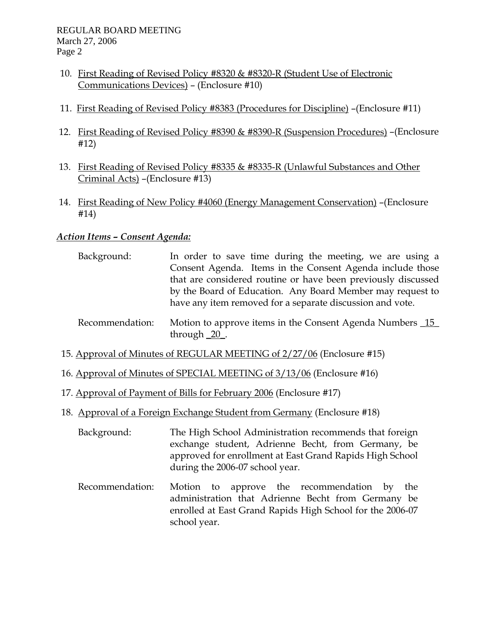- 10. First Reading of Revised Policy #8320 & #8320-R (Student Use of Electronic Communications Devices) – (Enclosure #10)
- 11. First Reading of Revised Policy #8383 (Procedures for Discipline) –(Enclosure #11)
- 12. First Reading of Revised Policy #8390 & #8390-R (Suspension Procedures) –(Enclosure #12)
- 13. First Reading of Revised Policy #8335 & #8335-R (Unlawful Substances and Other Criminal Acts) –(Enclosure #13)
- 14. First Reading of New Policy #4060 (Energy Management Conservation) –(Enclosure #14)

# *Action Items – Consent Agenda:*

- Background: In order to save time during the meeting, we are using a Consent Agenda. Items in the Consent Agenda include those that are considered routine or have been previously discussed by the Board of Education. Any Board Member may request to have any item removed for a separate discussion and vote.
- Recommendation: Motion to approve items in the Consent Agenda Numbers 15 through \_20\_.
- 15. Approval of Minutes of REGULAR MEETING of 2/27/06 (Enclosure #15)
- 16. Approval of Minutes of SPECIAL MEETING of 3/13/06 (Enclosure #16)
- 17. Approval of Payment of Bills for February 2006 (Enclosure #17)
- 18. Approval of a Foreign Exchange Student from Germany (Enclosure #18)
	- Background: The High School Administration recommends that foreign exchange student, Adrienne Becht, from Germany, be approved for enrollment at East Grand Rapids High School during the 2006-07 school year.
	- Recommendation: Motion to approve the recommendation by the administration that Adrienne Becht from Germany be enrolled at East Grand Rapids High School for the 2006-07 school year.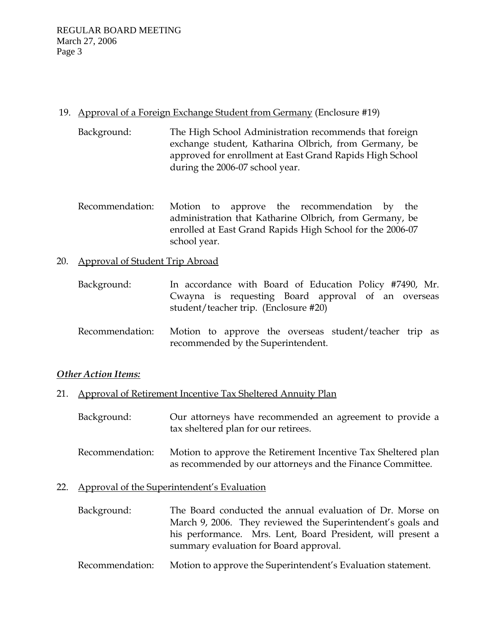# 19. Approval of a Foreign Exchange Student from Germany (Enclosure #19)

- Background: The High School Administration recommends that foreign exchange student, Katharina Olbrich, from Germany, be approved for enrollment at East Grand Rapids High School during the 2006-07 school year.
- Recommendation: Motion to approve the recommendation by the administration that Katharine Olbrich, from Germany, be enrolled at East Grand Rapids High School for the 2006-07 school year.

# 20. Approval of Student Trip Abroad

| Background: | In accordance with Board of Education Policy #7490, Mr.                                     |
|-------------|---------------------------------------------------------------------------------------------|
|             | Cwayna is requesting Board approval of an overseas<br>student/teacher trip. (Enclosure #20) |

 Recommendation: Motion to approve the overseas student/teacher trip as recommended by the Superintendent.

# *Other Action Items:*

# 21. Approval of Retirement Incentive Tax Sheltered Annuity Plan

- Background: Our attorneys have recommended an agreement to provide a tax sheltered plan for our retirees.
- Recommendation: Motion to approve the Retirement Incentive Tax Sheltered plan as recommended by our attorneys and the Finance Committee.

# 22. Approval of the Superintendent's Evaluation

- Background: The Board conducted the annual evaluation of Dr. Morse on March 9, 2006. They reviewed the Superintendent's goals and his performance. Mrs. Lent, Board President, will present a summary evaluation for Board approval.
- Recommendation: Motion to approve the Superintendent's Evaluation statement.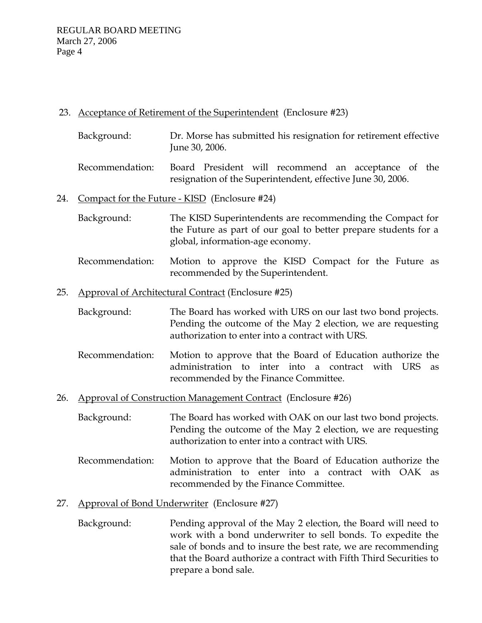# 23. Acceptance of Retirement of the Superintendent (Enclosure #23)

- Background: Dr. Morse has submitted his resignation for retirement effective June 30, 2006.
- Recommendation: Board President will recommend an acceptance of the resignation of the Superintendent, effective June 30, 2006.

# 24. Compact for the Future - KISD (Enclosure #24)

- Background: The KISD Superintendents are recommending the Compact for the Future as part of our goal to better prepare students for a global, information-age economy.
- Recommendation: Motion to approve the KISD Compact for the Future as recommended by the Superintendent.

# 25. Approval of Architectural Contract (Enclosure #25)

- Background: The Board has worked with URS on our last two bond projects. Pending the outcome of the May 2 election, we are requesting authorization to enter into a contract with URS.
- Recommendation: Motion to approve that the Board of Education authorize the administration to inter into a contract with URS as recommended by the Finance Committee.
- 26. Approval of Construction Management Contract (Enclosure #26)
	- Background: The Board has worked with OAK on our last two bond projects. Pending the outcome of the May 2 election, we are requesting authorization to enter into a contract with URS.
	- Recommendation: Motion to approve that the Board of Education authorize the administration to enter into a contract with OAK as recommended by the Finance Committee.

# 27. Approval of Bond Underwriter (Enclosure #27)

 Background: Pending approval of the May 2 election, the Board will need to work with a bond underwriter to sell bonds. To expedite the sale of bonds and to insure the best rate, we are recommending that the Board authorize a contract with Fifth Third Securities to prepare a bond sale.